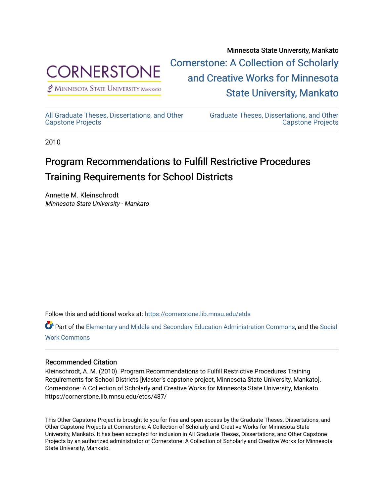

 $<sup>2</sup>$  Minnesota State University mankato</sup>

Minnesota State University, Mankato [Cornerstone: A Collection of Scholarly](https://cornerstone.lib.mnsu.edu/)  [and Creative Works for Minnesota](https://cornerstone.lib.mnsu.edu/)  [State University, Mankato](https://cornerstone.lib.mnsu.edu/) 

[All Graduate Theses, Dissertations, and Other](https://cornerstone.lib.mnsu.edu/etds) 

[Graduate Theses, Dissertations, and Other](https://cornerstone.lib.mnsu.edu/theses_dissertations-capstone)  [Capstone Projects](https://cornerstone.lib.mnsu.edu/theses_dissertations-capstone) 

2010

[Capstone Projects](https://cornerstone.lib.mnsu.edu/etds) 

### Program Recommendations to Fulfill Restrictive Procedures Training Requirements for School Districts

Annette M. Kleinschrodt Minnesota State University - Mankato

Follow this and additional works at: [https://cornerstone.lib.mnsu.edu/etds](https://cornerstone.lib.mnsu.edu/etds?utm_source=cornerstone.lib.mnsu.edu%2Fetds%2F487&utm_medium=PDF&utm_campaign=PDFCoverPages) 

Part of the [Elementary and Middle and Secondary Education Administration Commons](http://network.bepress.com/hgg/discipline/790?utm_source=cornerstone.lib.mnsu.edu%2Fetds%2F487&utm_medium=PDF&utm_campaign=PDFCoverPages), and the [Social](http://network.bepress.com/hgg/discipline/713?utm_source=cornerstone.lib.mnsu.edu%2Fetds%2F487&utm_medium=PDF&utm_campaign=PDFCoverPages)  [Work Commons](http://network.bepress.com/hgg/discipline/713?utm_source=cornerstone.lib.mnsu.edu%2Fetds%2F487&utm_medium=PDF&utm_campaign=PDFCoverPages)

### Recommended Citation

Kleinschrodt, A. M. (2010). Program Recommendations to Fulfill Restrictive Procedures Training Requirements for School Districts [Master's capstone project, Minnesota State University, Mankato]. Cornerstone: A Collection of Scholarly and Creative Works for Minnesota State University, Mankato. https://cornerstone.lib.mnsu.edu/etds/487/

This Other Capstone Project is brought to you for free and open access by the Graduate Theses, Dissertations, and Other Capstone Projects at Cornerstone: A Collection of Scholarly and Creative Works for Minnesota State University, Mankato. It has been accepted for inclusion in All Graduate Theses, Dissertations, and Other Capstone Projects by an authorized administrator of Cornerstone: A Collection of Scholarly and Creative Works for Minnesota State University, Mankato.